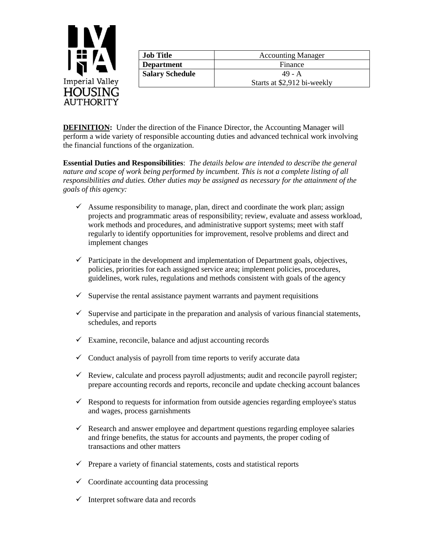

| <b>Job Title</b>       | <b>Accounting Manager</b>   |
|------------------------|-----------------------------|
| <b>Department</b>      | Finance                     |
| <b>Salary Schedule</b> | $49 - A$                    |
|                        | Starts at \$2,912 bi-weekly |

**DEFINITION:** Under the direction of the Finance Director, the Accounting Manager will perform a wide variety of responsible accounting duties and advanced technical work involving the financial functions of the organization.

**Essential Duties and Responsibilities**: *The details below are intended to describe the general nature and scope of work being performed by incumbent. This is not a complete listing of all responsibilities and duties. Other duties may be assigned as necessary for the attainment of the goals of this agency:*

- $\checkmark$  Assume responsibility to manage, plan, direct and coordinate the work plan; assign projects and programmatic areas of responsibility; review, evaluate and assess workload, work methods and procedures, and administrative support systems; meet with staff regularly to identify opportunities for improvement, resolve problems and direct and implement changes
- $\checkmark$  Participate in the development and implementation of Department goals, objectives, policies, priorities for each assigned service area; implement policies, procedures, guidelines, work rules, regulations and methods consistent with goals of the agency
- $\checkmark$  Supervise the rental assistance payment warrants and payment requisitions
- $\checkmark$  Supervise and participate in the preparation and analysis of various financial statements, schedules, and reports
- $\checkmark$  Examine, reconcile, balance and adjust accounting records
- $\checkmark$  Conduct analysis of payroll from time reports to verify accurate data
- $\checkmark$  Review, calculate and process payroll adjustments; audit and reconcile payroll register; prepare accounting records and reports, reconcile and update checking account balances
- $\checkmark$  Respond to requests for information from outside agencies regarding employee's status and wages, process garnishments
- $\checkmark$  Research and answer employee and department questions regarding employee salaries and fringe benefits, the status for accounts and payments, the proper coding of transactions and other matters
- $\checkmark$  Prepare a variety of financial statements, costs and statistical reports
- $\checkmark$  Coordinate accounting data processing
- $\checkmark$  Interpret software data and records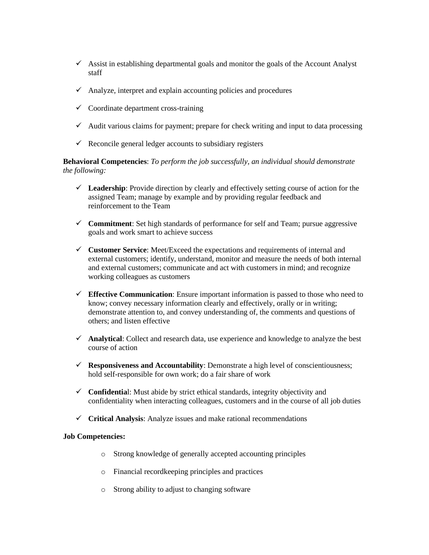- $\checkmark$  Assist in establishing departmental goals and monitor the goals of the Account Analyst staff
- $\checkmark$  Analyze, interpret and explain accounting policies and procedures
- $\checkmark$  Coordinate department cross-training
- $\checkmark$  Audit various claims for payment; prepare for check writing and input to data processing
- $\checkmark$  Reconcile general ledger accounts to subsidiary registers

**Behavioral Competencies**: *To perform the job successfully, an individual should demonstrate the following:*

- ✓ **Leadership**: Provide direction by clearly and effectively setting course of action for the assigned Team; manage by example and by providing regular feedback and reinforcement to the Team
- ✓ **Commitment**: Set high standards of performance for self and Team; pursue aggressive goals and work smart to achieve success
- ✓ **Customer Service**: Meet/Exceed the expectations and requirements of internal and external customers; identify, understand, monitor and measure the needs of both internal and external customers; communicate and act with customers in mind; and recognize working colleagues as customers
- ✓ **Effective Communication**: Ensure important information is passed to those who need to know; convey necessary information clearly and effectively, orally or in writing; demonstrate attention to, and convey understanding of, the comments and questions of others; and listen effective
- ✓ **Analytical**: Collect and research data, use experience and knowledge to analyze the best course of action
- ✓ **Responsiveness and Accountability**: Demonstrate a high level of conscientiousness; hold self-responsible for own work; do a fair share of work
- ✓ **Confidentia**l: Must abide by strict ethical standards, integrity objectivity and confidentiality when interacting colleagues, customers and in the course of all job duties
- ✓ **Critical Analysis**: Analyze issues and make rational recommendations

## **Job Competencies:**

- o Strong knowledge of generally accepted accounting principles
- o Financial recordkeeping principles and practices
- o Strong ability to adjust to changing software